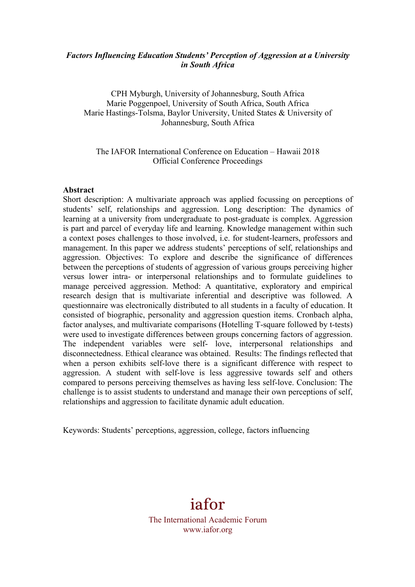### *Factors Influencing Education Students' Perception of Aggression at a University in South Africa*

CPH Myburgh, University of Johannesburg, South Africa Marie Poggenpoel, University of South Africa, South Africa Marie Hastings-Tolsma, Baylor University, United States & University of Johannesburg, South Africa

### The IAFOR International Conference on Education – Hawaii 2018 Official Conference Proceedings

#### **Abstract**

Short description: A multivariate approach was applied focussing on perceptions of students' self, relationships and aggression. Long description: The dynamics of learning at a university from undergraduate to post-graduate is complex. Aggression is part and parcel of everyday life and learning. Knowledge management within such a context poses challenges to those involved, i.e. for student-learners, professors and management. In this paper we address students' perceptions of self, relationships and aggression. Objectives: To explore and describe the significance of differences between the perceptions of students of aggression of various groups perceiving higher versus lower intra- or interpersonal relationships and to formulate guidelines to manage perceived aggression. Method: A quantitative, exploratory and empirical research design that is multivariate inferential and descriptive was followed. A questionnaire was electronically distributed to all students in a faculty of education. It consisted of biographic, personality and aggression question items. Cronbach alpha, factor analyses, and multivariate comparisons (Hotelling T-square followed by t-tests) were used to investigate differences between groups concerning factors of aggression. The independent variables were self- love, interpersonal relationships and disconnectedness. Ethical clearance was obtained. Results: The findings reflected that when a person exhibits self-love there is a significant difference with respect to aggression. A student with self-love is less aggressive towards self and others compared to persons perceiving themselves as having less self-love. Conclusion: The challenge is to assist students to understand and manage their own perceptions of self, relationships and aggression to facilitate dynamic adult education.

Keywords: Students' perceptions, aggression, college, factors influencing

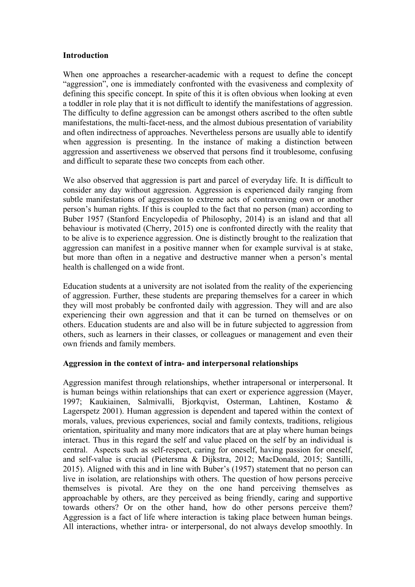### **Introduction**

When one approaches a researcher-academic with a request to define the concept "aggression", one is immediately confronted with the evasiveness and complexity of defining this specific concept. In spite of this it is often obvious when looking at even a toddler in role play that it is not difficult to identify the manifestations of aggression. The difficulty to define aggression can be amongst others ascribed to the often subtle manifestations, the multi-facet-ness, and the almost dubious presentation of variability and often indirectness of approaches. Nevertheless persons are usually able to identify when aggression is presenting. In the instance of making a distinction between aggression and assertiveness we observed that persons find it troublesome, confusing and difficult to separate these two concepts from each other.

We also observed that aggression is part and parcel of everyday life. It is difficult to consider any day without aggression. Aggression is experienced daily ranging from subtle manifestations of aggression to extreme acts of contravening own or another person's human rights. If this is coupled to the fact that no person (man) according to Buber 1957 (Stanford Encyclopedia of Philosophy, 2014) is an island and that all behaviour is motivated (Cherry, 2015) one is confronted directly with the reality that to be alive is to experience aggression. One is distinctly brought to the realization that aggression can manifest in a positive manner when for example survival is at stake, but more than often in a negative and destructive manner when a person's mental health is challenged on a wide front.

Education students at a university are not isolated from the reality of the experiencing of aggression. Further, these students are preparing themselves for a career in which they will most probably be confronted daily with aggression. They will and are also experiencing their own aggression and that it can be turned on themselves or on others. Education students are and also will be in future subjected to aggression from others, such as learners in their classes, or colleagues or management and even their own friends and family members.

### **Aggression in the context of intra- and interpersonal relationships**

Aggression manifest through relationships, whether intrapersonal or interpersonal. It is human beings within relationships that can exert or experience aggression (Mayer, 1997; Kaukiainen, Salmivalli, Bjorkqvist, Osterman, Lahtinen, Kostamo & Lagerspetz 2001). Human aggression is dependent and tapered within the context of morals, values, previous experiences, social and family contexts, traditions, religious orientation, spirituality and many more indicators that are at play where human beings interact. Thus in this regard the self and value placed on the self by an individual is central. Aspects such as self-respect, caring for oneself, having passion for oneself, and self-value is crucial (Pietersma & Dijkstra, 2012; MacDonald, 2015; Santilli, 2015). Aligned with this and in line with Buber's (1957) statement that no person can live in isolation, are relationships with others. The question of how persons perceive themselves is pivotal. Are they on the one hand perceiving themselves as approachable by others, are they perceived as being friendly, caring and supportive towards others? Or on the other hand, how do other persons perceive them? Aggression is a fact of life where interaction is taking place between human beings. All interactions, whether intra- or interpersonal, do not always develop smoothly. In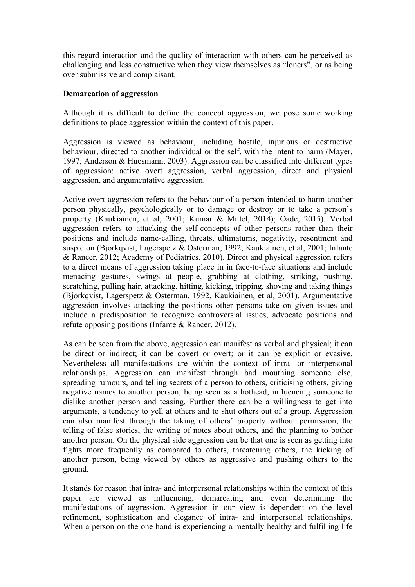this regard interaction and the quality of interaction with others can be perceived as challenging and less constructive when they view themselves as "loners", or as being over submissive and complaisant.

### **Demarcation of aggression**

Although it is difficult to define the concept aggression, we pose some working definitions to place aggression within the context of this paper.

Aggression is viewed as behaviour, including hostile, injurious or destructive behaviour, directed to another individual or the self, with the intent to harm (Mayer, 1997; Anderson & Huesmann, 2003). Aggression can be classified into different types of aggression: active overt aggression, verbal aggression, direct and physical aggression, and argumentative aggression.

Active overt aggression refers to the behaviour of a person intended to harm another person physically, psychologically or to damage or destroy or to take a person's property (Kaukiainen, et al, 2001; Kumar & Mittel, 2014); Oade, 2015). Verbal aggression refers to attacking the self-concepts of other persons rather than their positions and include name-calling, threats, ultimatums, negativity, resentment and suspicion (Bjorkqvist, Lagerspetz & Osterman, 1992; Kaukiainen, et al, 2001; Infante & Rancer, 2012; Academy of Pediatrics, 2010). Direct and physical aggression refers to a direct means of aggression taking place in in face-to-face situations and include menacing gestures, swings at people, grabbing at clothing, striking, pushing, scratching, pulling hair, attacking, hitting, kicking, tripping, shoving and taking things (Bjorkqvist, Lagerspetz & Osterman, 1992, Kaukiainen, et al, 2001). Argumentative aggression involves attacking the positions other persons take on given issues and include a predisposition to recognize controversial issues, advocate positions and refute opposing positions (Infante & Rancer, 2012).

As can be seen from the above, aggression can manifest as verbal and physical; it can be direct or indirect; it can be covert or overt; or it can be explicit or evasive. Nevertheless all manifestations are within the context of intra- or interpersonal relationships. Aggression can manifest through bad mouthing someone else, spreading rumours, and telling secrets of a person to others, criticising others, giving negative names to another person, being seen as a hothead, influencing someone to dislike another person and teasing. Further there can be a willingness to get into arguments, a tendency to yell at others and to shut others out of a group. Aggression can also manifest through the taking of others' property without permission, the telling of false stories, the writing of notes about others, and the planning to bother another person. On the physical side aggression can be that one is seen as getting into fights more frequently as compared to others, threatening others, the kicking of another person, being viewed by others as aggressive and pushing others to the ground.

It stands for reason that intra- and interpersonal relationships within the context of this paper are viewed as influencing, demarcating and even determining the manifestations of aggression. Aggression in our view is dependent on the level refinement, sophistication and elegance of intra- and interpersonal relationships. When a person on the one hand is experiencing a mentally healthy and fulfilling life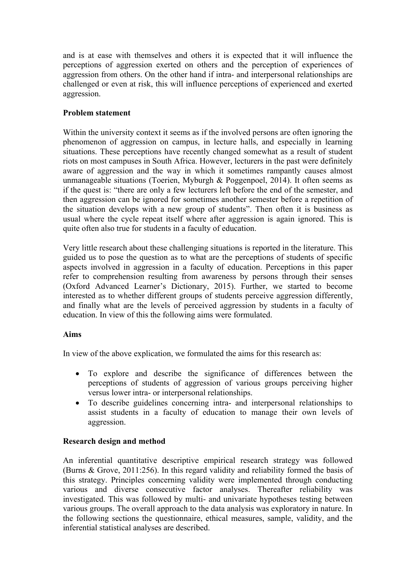and is at ease with themselves and others it is expected that it will influence the perceptions of aggression exerted on others and the perception of experiences of aggression from others. On the other hand if intra- and interpersonal relationships are challenged or even at risk, this will influence perceptions of experienced and exerted aggression.

# **Problem statement**

Within the university context it seems as if the involved persons are often ignoring the phenomenon of aggression on campus, in lecture halls, and especially in learning situations. These perceptions have recently changed somewhat as a result of student riots on most campuses in South Africa. However, lecturers in the past were definitely aware of aggression and the way in which it sometimes rampantly causes almost unmanageable situations (Toerien, Myburgh & Poggenpoel, 2014). It often seems as if the quest is: "there are only a few lecturers left before the end of the semester, and then aggression can be ignored for sometimes another semester before a repetition of the situation develops with a new group of students". Then often it is business as usual where the cycle repeat itself where after aggression is again ignored. This is quite often also true for students in a faculty of education.

Very little research about these challenging situations is reported in the literature. This guided us to pose the question as to what are the perceptions of students of specific aspects involved in aggression in a faculty of education. Perceptions in this paper refer to comprehension resulting from awareness by persons through their senses (Oxford Advanced Learner's Dictionary, 2015). Further, we started to become interested as to whether different groups of students perceive aggression differently, and finally what are the levels of perceived aggression by students in a faculty of education. In view of this the following aims were formulated.

## **Aims**

In view of the above explication, we formulated the aims for this research as:

- To explore and describe the significance of differences between the perceptions of students of aggression of various groups perceiving higher versus lower intra- or interpersonal relationships.
- To describe guidelines concerning intra- and interpersonal relationships to assist students in a faculty of education to manage their own levels of aggression.

## **Research design and method**

An inferential quantitative descriptive empirical research strategy was followed (Burns & Grove, 2011:256). In this regard validity and reliability formed the basis of this strategy. Principles concerning validity were implemented through conducting various and diverse consecutive factor analyses. Thereafter reliability was investigated. This was followed by multi- and univariate hypotheses testing between various groups. The overall approach to the data analysis was exploratory in nature. In the following sections the questionnaire, ethical measures, sample, validity, and the inferential statistical analyses are described.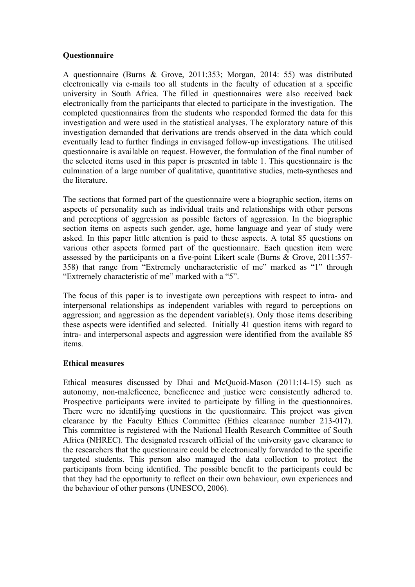## **Questionnaire**

A questionnaire (Burns & Grove, 2011:353; Morgan, 2014: 55) was distributed electronically via e-mails too all students in the faculty of education at a specific university in South Africa. The filled in questionnaires were also received back electronically from the participants that elected to participate in the investigation. The completed questionnaires from the students who responded formed the data for this investigation and were used in the statistical analyses. The exploratory nature of this investigation demanded that derivations are trends observed in the data which could eventually lead to further findings in envisaged follow-up investigations. The utilised questionnaire is available on request. However, the formulation of the final number of the selected items used in this paper is presented in table 1. This questionnaire is the culmination of a large number of qualitative, quantitative studies, meta-syntheses and the literature.

The sections that formed part of the questionnaire were a biographic section, items on aspects of personality such as individual traits and relationships with other persons and perceptions of aggression as possible factors of aggression. In the biographic section items on aspects such gender, age, home language and year of study were asked. In this paper little attention is paid to these aspects. A total 85 questions on various other aspects formed part of the questionnaire. Each question item were assessed by the participants on a five-point Likert scale (Burns & Grove, 2011:357- 358) that range from "Extremely uncharacteristic of me" marked as "1" through "Extremely characteristic of me" marked with a "5".

The focus of this paper is to investigate own perceptions with respect to intra- and interpersonal relationships as independent variables with regard to perceptions on aggression; and aggression as the dependent variable(s). Only those items describing these aspects were identified and selected. Initially 41 question items with regard to intra- and interpersonal aspects and aggression were identified from the available 85 items.

## **Ethical measures**

Ethical measures discussed by Dhai and McQuoid-Mason (2011:14-15) such as autonomy, non-maleficence, beneficence and justice were consistently adhered to. Prospective participants were invited to participate by filling in the questionnaires. There were no identifying questions in the questionnaire. This project was given clearance by the Faculty Ethics Committee (Ethics clearance number 213-017). This committee is registered with the National Health Research Committee of South Africa (NHREC). The designated research official of the university gave clearance to the researchers that the questionnaire could be electronically forwarded to the specific targeted students. This person also managed the data collection to protect the participants from being identified. The possible benefit to the participants could be that they had the opportunity to reflect on their own behaviour, own experiences and the behaviour of other persons (UNESCO, 2006).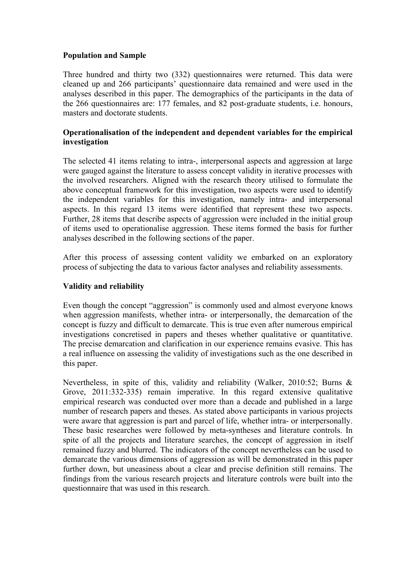## **Population and Sample**

Three hundred and thirty two (332) questionnaires were returned. This data were cleaned up and 266 participants' questionnaire data remained and were used in the analyses described in this paper. The demographics of the participants in the data of the 266 questionnaires are: 177 females, and 82 post-graduate students, i.e. honours, masters and doctorate students.

## **Operationalisation of the independent and dependent variables for the empirical investigation**

The selected 41 items relating to intra-, interpersonal aspects and aggression at large were gauged against the literature to assess concept validity in iterative processes with the involved researchers. Aligned with the research theory utilised to formulate the above conceptual framework for this investigation, two aspects were used to identify the independent variables for this investigation, namely intra- and interpersonal aspects. In this regard 13 items were identified that represent these two aspects. Further, 28 items that describe aspects of aggression were included in the initial group of items used to operationalise aggression. These items formed the basis for further analyses described in the following sections of the paper.

After this process of assessing content validity we embarked on an exploratory process of subjecting the data to various factor analyses and reliability assessments.

## **Validity and reliability**

Even though the concept "aggression" is commonly used and almost everyone knows when aggression manifests, whether intra- or interpersonally, the demarcation of the concept is fuzzy and difficult to demarcate. This is true even after numerous empirical investigations concretised in papers and theses whether qualitative or quantitative. The precise demarcation and clarification in our experience remains evasive. This has a real influence on assessing the validity of investigations such as the one described in this paper.

Nevertheless, in spite of this, validity and reliability (Walker, 2010:52; Burns & Grove, 2011:332-335) remain imperative. In this regard extensive qualitative empirical research was conducted over more than a decade and published in a large number of research papers and theses. As stated above participants in various projects were aware that aggression is part and parcel of life, whether intra- or interpersonally. These basic researches were followed by meta-syntheses and literature controls. In spite of all the projects and literature searches, the concept of aggression in itself remained fuzzy and blurred. The indicators of the concept nevertheless can be used to demarcate the various dimensions of aggression as will be demonstrated in this paper further down, but uneasiness about a clear and precise definition still remains. The findings from the various research projects and literature controls were built into the questionnaire that was used in this research.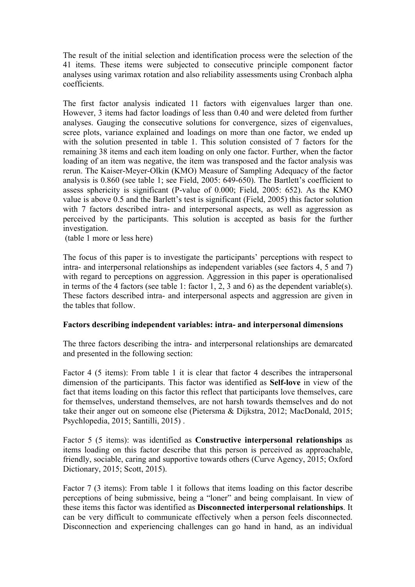The result of the initial selection and identification process were the selection of the 41 items. These items were subjected to consecutive principle component factor analyses using varimax rotation and also reliability assessments using Cronbach alpha coefficients.

The first factor analysis indicated 11 factors with eigenvalues larger than one. However, 3 items had factor loadings of less than 0.40 and were deleted from further analyses. Gauging the consecutive solutions for convergence, sizes of eigenvalues, scree plots, variance explained and loadings on more than one factor, we ended up with the solution presented in table 1. This solution consisted of 7 factors for the remaining 38 items and each item loading on only one factor. Further, when the factor loading of an item was negative, the item was transposed and the factor analysis was rerun. The Kaiser-Meyer-Olkin (KMO) Measure of Sampling Adequacy of the factor analysis is 0.860 (see table 1; see Field, 2005: 649-650). The Bartlett's coefficient to assess sphericity is significant (P-value of 0.000; Field, 2005: 652). As the KMO value is above 0.5 and the Barlett's test is significant (Field, 2005) this factor solution with 7 factors described intra- and interpersonal aspects, as well as aggression as perceived by the participants. This solution is accepted as basis for the further investigation.

(table 1 more or less here)

The focus of this paper is to investigate the participants' perceptions with respect to intra- and interpersonal relationships as independent variables (see factors 4, 5 and 7) with regard to perceptions on aggression. Aggression in this paper is operationalised in terms of the 4 factors (see table 1: factor 1, 2, 3 and 6) as the dependent variable(s). These factors described intra- and interpersonal aspects and aggression are given in the tables that follow.

### **Factors describing independent variables: intra- and interpersonal dimensions**

The three factors describing the intra- and interpersonal relationships are demarcated and presented in the following section:

Factor 4 (5 items): From table 1 it is clear that factor 4 describes the intrapersonal dimension of the participants. This factor was identified as **Self-love** in view of the fact that items loading on this factor this reflect that participants love themselves, care for themselves, understand themselves, are not harsh towards themselves and do not take their anger out on someone else (Pietersma & Dijkstra, 2012; MacDonald, 2015; Psychlopedia, 2015; Santilli, 2015) .

Factor 5 (5 items): was identified as **Constructive interpersonal relationships** as items loading on this factor describe that this person is perceived as approachable, friendly, sociable, caring and supportive towards others (Curve Agency, 2015; Oxford Dictionary, 2015; Scott, 2015).

Factor 7 (3 items): From table 1 it follows that items loading on this factor describe perceptions of being submissive, being a "loner" and being complaisant. In view of these items this factor was identified as **Disconnected interpersonal relationships**. It can be very difficult to communicate effectively when a person feels disconnected. Disconnection and experiencing challenges can go hand in hand, as an individual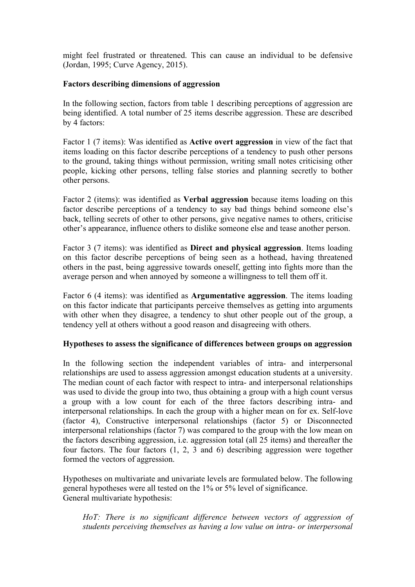might feel frustrated or threatened. This can cause an individual to be defensive (Jordan, 1995; Curve Agency, 2015).

### **Factors describing dimensions of aggression**

In the following section, factors from table 1 describing perceptions of aggression are being identified. A total number of 25 items describe aggression. These are described by 4 factors:

Factor 1 (7 items): Was identified as **Active overt aggression** in view of the fact that items loading on this factor describe perceptions of a tendency to push other persons to the ground, taking things without permission, writing small notes criticising other people, kicking other persons, telling false stories and planning secretly to bother other persons.

Factor 2 (items): was identified as **Verbal aggression** because items loading on this factor describe perceptions of a tendency to say bad things behind someone else's back, telling secrets of other to other persons, give negative names to others, criticise other's appearance, influence others to dislike someone else and tease another person.

Factor 3 (7 items): was identified as **Direct and physical aggression**. Items loading on this factor describe perceptions of being seen as a hothead, having threatened others in the past, being aggressive towards oneself, getting into fights more than the average person and when annoyed by someone a willingness to tell them off it.

Factor 6 (4 items): was identified as **Argumentative aggression**. The items loading on this factor indicate that participants perceive themselves as getting into arguments with other when they disagree, a tendency to shut other people out of the group, a tendency yell at others without a good reason and disagreeing with others.

### **Hypotheses to assess the significance of differences between groups on aggression**

In the following section the independent variables of intra- and interpersonal relationships are used to assess aggression amongst education students at a university. The median count of each factor with respect to intra- and interpersonal relationships was used to divide the group into two, thus obtaining a group with a high count versus a group with a low count for each of the three factors describing intra- and interpersonal relationships. In each the group with a higher mean on for ex. Self-love (factor 4), Constructive interpersonal relationships (factor 5) or Disconnected interpersonal relationships (factor 7) was compared to the group with the low mean on the factors describing aggression, i.e. aggression total (all 25 items) and thereafter the four factors. The four factors (1, 2, 3 and 6) describing aggression were together formed the vectors of aggression.

Hypotheses on multivariate and univariate levels are formulated below. The following general hypotheses were all tested on the 1% or 5% level of significance. General multivariate hypothesis:

HoT: There is no significant difference between vectors of aggression of *students perceiving themselves as having a low value on intra- or interpersonal*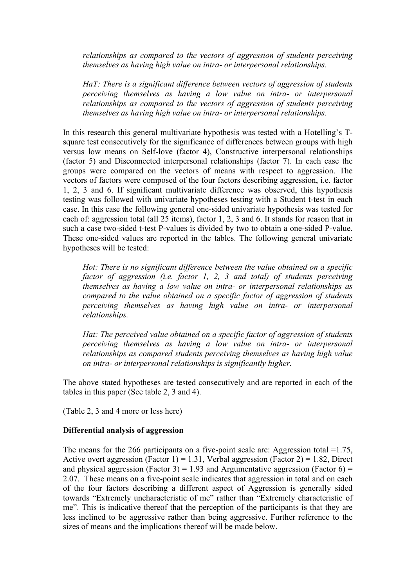*relationships as compared to the vectors of aggression of students perceiving themselves as having high value on intra- or interpersonal relationships.*

*HaT: There is a significant difference between vectors of aggression of students perceiving themselves as having a low value on intra- or interpersonal relationships as compared to the vectors of aggression of students perceiving themselves as having high value on intra- or interpersonal relationships.*

In this research this general multivariate hypothesis was tested with a Hotelling's Tsquare test consecutively for the significance of differences between groups with high versus low means on Self-love (factor 4), Constructive interpersonal relationships (factor 5) and Disconnected interpersonal relationships (factor 7). In each case the groups were compared on the vectors of means with respect to aggression. The vectors of factors were composed of the four factors describing aggression, i.e. factor 1, 2, 3 and 6. If significant multivariate difference was observed, this hypothesis testing was followed with univariate hypotheses testing with a Student t-test in each case. In this case the following general one-sided univariate hypothesis was tested for each of: aggression total (all 25 items), factor 1, 2, 3 and 6. It stands for reason that in such a case two-sided t-test P-values is divided by two to obtain a one-sided P-value. These one-sided values are reported in the tables. The following general univariate hypotheses will be tested:

*Hot: There is no significant difference between the value obtained on a specific factor of aggression (i.e. factor 1, 2, 3 and total) of students perceiving themselves as having a low value on intra- or interpersonal relationships as compared to the value obtained on a specific factor of aggression of students perceiving themselves as having high value on intra- or interpersonal relationships.*

*Hat: The perceived value obtained on a specific factor of aggression of students perceiving themselves as having a low value on intra- or interpersonal relationships as compared students perceiving themselves as having high value on intra- or interpersonal relationships is significantly higher.*

The above stated hypotheses are tested consecutively and are reported in each of the tables in this paper (See table 2, 3 and 4).

(Table 2, 3 and 4 more or less here)

### **Differential analysis of aggression**

The means for the 266 participants on a five-point scale are: Aggression total =1.75, Active overt aggression (Factor 1) = 1.31, Verbal aggression (Factor 2) = 1.82, Direct and physical aggression (Factor 3) = 1.93 and Argumentative aggression (Factor 6) = 2.07. These means on a five-point scale indicates that aggression in total and on each of the four factors describing a different aspect of Aggression is generally sided towards "Extremely uncharacteristic of me" rather than "Extremely characteristic of me". This is indicative thereof that the perception of the participants is that they are less inclined to be aggressive rather than being aggressive. Further reference to the sizes of means and the implications thereof will be made below.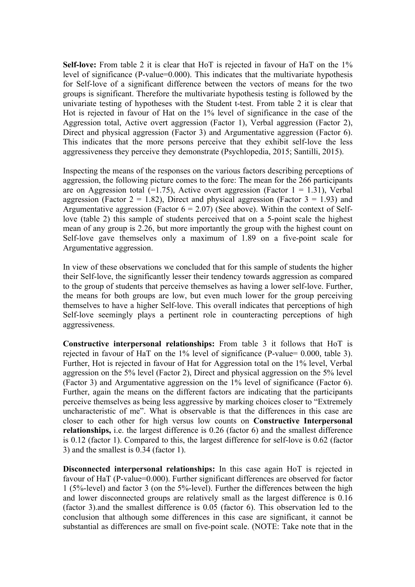**Self-love:** From table 2 it is clear that HoT is rejected in favour of HaT on the 1% level of significance (P-value=0.000). This indicates that the multivariate hypothesis for Self-love of a significant difference between the vectors of means for the two groups is significant. Therefore the multivariate hypothesis testing is followed by the univariate testing of hypotheses with the Student t-test. From table 2 it is clear that Hot is rejected in favour of Hat on the 1% level of significance in the case of the Aggression total, Active overt aggression (Factor 1), Verbal aggression (Factor 2), Direct and physical aggression (Factor 3) and Argumentative aggression (Factor 6). This indicates that the more persons perceive that they exhibit self-love the less aggressiveness they perceive they demonstrate (Psychlopedia, 2015; Santilli, 2015).

Inspecting the means of the responses on the various factors describing perceptions of aggression, the following picture comes to the fore: The mean for the 266 participants are on Aggression total  $(=1.75)$ , Active overt aggression (Factor  $1 = 1.31$ ), Verbal aggression (Factor  $2 = 1.82$ ), Direct and physical aggression (Factor  $3 = 1.93$ ) and Argumentative aggression (Factor  $6 = 2.07$ ) (See above). Within the context of Selflove (table 2) this sample of students perceived that on a 5-point scale the highest mean of any group is 2.26, but more importantly the group with the highest count on Self-love gave themselves only a maximum of 1.89 on a five-point scale for Argumentative aggression.

In view of these observations we concluded that for this sample of students the higher their Self-love, the significantly lesser their tendency towards aggression as compared to the group of students that perceive themselves as having a lower self-love. Further, the means for both groups are low, but even much lower for the group perceiving themselves to have a higher Self-love. This overall indicates that perceptions of high Self-love seemingly plays a pertinent role in counteracting perceptions of high aggressiveness.

**Constructive interpersonal relationships:** From table 3 it follows that HoT is rejected in favour of HaT on the 1% level of significance (P-value= 0.000, table 3). Further, Hot is rejected in favour of Hat for Aggression total on the 1% level, Verbal aggression on the 5% level (Factor 2), Direct and physical aggression on the 5% level (Factor 3) and Argumentative aggression on the 1% level of significance (Factor 6). Further, again the means on the different factors are indicating that the participants perceive themselves as being less aggressive by marking choices closer to "Extremely uncharacteristic of me". What is observable is that the differences in this case are closer to each other for high versus low counts on **Constructive Interpersonal relationships,** i.e. the largest difference is 0.26 (factor 6) and the smallest difference is 0.12 (factor 1). Compared to this, the largest difference for self-love is 0.62 (factor 3) and the smallest is 0.34 (factor 1).

**Disconnected interpersonal relationships:** In this case again HoT is rejected in favour of HaT (P-value=0.000). Further significant differences are observed for factor 1 (5%-level) and factor 3 (on the 5%-level). Further the differences between the high and lower disconnected groups are relatively small as the largest difference is 0.16 (factor 3).and the smallest difference is 0.05 (factor 6). This observation led to the conclusion that although some differences in this case are significant, it cannot be substantial as differences are small on five-point scale. (NOTE: Take note that in the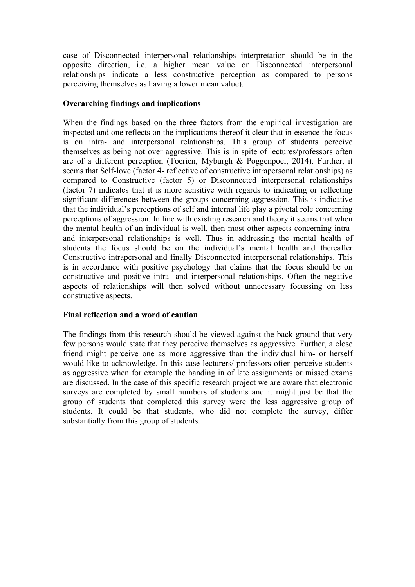case of Disconnected interpersonal relationships interpretation should be in the opposite direction, i.e. a higher mean value on Disconnected interpersonal relationships indicate a less constructive perception as compared to persons perceiving themselves as having a lower mean value).

## **Overarching findings and implications**

When the findings based on the three factors from the empirical investigation are inspected and one reflects on the implications thereof it clear that in essence the focus is on intra- and interpersonal relationships. This group of students perceive themselves as being not over aggressive. This is in spite of lectures/professors often are of a different perception (Toerien, Myburgh & Poggenpoel, 2014). Further, it seems that Self-love (factor 4- reflective of constructive intrapersonal relationships) as compared to Constructive (factor 5) or Disconnected interpersonal relationships (factor 7) indicates that it is more sensitive with regards to indicating or reflecting significant differences between the groups concerning aggression. This is indicative that the individual's perceptions of self and internal life play a pivotal role concerning perceptions of aggression. In line with existing research and theory it seems that when the mental health of an individual is well, then most other aspects concerning intraand interpersonal relationships is well. Thus in addressing the mental health of students the focus should be on the individual's mental health and thereafter Constructive intrapersonal and finally Disconnected interpersonal relationships. This is in accordance with positive psychology that claims that the focus should be on constructive and positive intra- and interpersonal relationships. Often the negative aspects of relationships will then solved without unnecessary focussing on less constructive aspects.

## **Final reflection and a word of caution**

The findings from this research should be viewed against the back ground that very few persons would state that they perceive themselves as aggressive. Further, a close friend might perceive one as more aggressive than the individual him- or herself would like to acknowledge. In this case lecturers/ professors often perceive students as aggressive when for example the handing in of late assignments or missed exams are discussed. In the case of this specific research project we are aware that electronic surveys are completed by small numbers of students and it might just be that the group of students that completed this survey were the less aggressive group of students. It could be that students, who did not complete the survey, differ substantially from this group of students.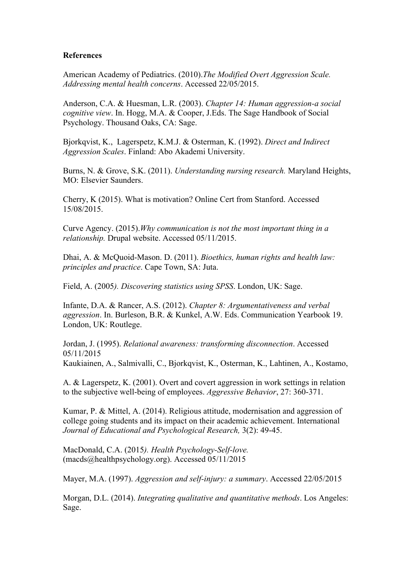### **References**

American Academy of Pediatrics. (2010).*The Modified Overt Aggression Scale. Addressing mental health concerns*. Accessed 22/05/2015.

Anderson, C.A. & Huesman, L.R. (2003). *Chapter 14: Human aggression-a social cognitive view*. In. Hogg, M.A. & Cooper, J.Eds. The Sage Handbook of Social Psychology. Thousand Oaks, CA: Sage.

Bjorkqvist, K., Lagerspetz, K.M.J. & Osterman, K. (1992). *Direct and Indirect Aggression Scales*. Finland: Abo Akademi University.

Burns, N. & Grove, S.K. (2011). *Understanding nursing research.* Maryland Heights, MO: Elsevier Saunders.

Cherry, K (2015). What is motivation? Online Cert from Stanford. Accessed 15/08/2015.

Curve Agency. (2015).*Why communication is not the most important thing in a relationship.* Drupal website. Accessed 05/11/2015.

Dhai, A. & McQuoid-Mason. D. (2011). *Bioethics, human rights and health law: principles and practice*. Cape Town, SA: Juta.

Field, A. (2005*). Discovering statistics using SPSS*. London, UK: Sage.

Infante, D.A. & Rancer, A.S. (2012). *Chapter 8: Argumentativeness and verbal aggression*. In. Burleson, B.R. & Kunkel, A.W. Eds. Communication Yearbook 19. London, UK: Routlege.

Jordan, J. (1995). *Relational awareness: transforming disconnection*. Accessed 05/11/2015

Kaukiainen, A., Salmivalli, C., Bjorkqvist, K., Osterman, K., Lahtinen, A., Kostamo,

A. & Lagerspetz, K. (2001). Overt and covert aggression in work settings in relation to the subjective well-being of employees. *Aggressive Behavior*, 27: 360-371.

Kumar, P. & Mittel, A. (2014). Religious attitude, modernisation and aggression of college going students and its impact on their academic achievement. International *Journal of Educational and Psychological Research,* 3(2): 49-45.

MacDonald, C.A. (2015*). Health Psychology-Self-love.* (macds@healthpsychology.org). Accessed 05/11/2015

Mayer, M.A. (1997). *Aggression and self-injury: a summary*. Accessed 22/05/2015

Morgan, D.L. (2014). *Integrating qualitative and quantitative methods*. Los Angeles: Sage.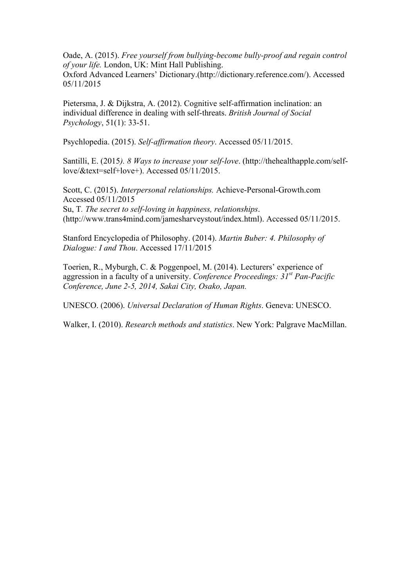Oade, A. (2015). *Free yourself from bullying-become bully-proof and regain control of your life.* London, UK: Mint Hall Publishing.

Oxford Advanced Learners' Dictionary.(http://dictionary.reference.com/). Accessed 05/11/2015

Pietersma, J. & Dijkstra, A. (2012). Cognitive self-affirmation inclination: an individual difference in dealing with self-threats. *British Journal of Social Psychology*, 51(1): 33-51.

Psychlopedia. (2015). *Self-affirmation theory*. Accessed 05/11/2015.

Santilli, E. (2015*). 8 Ways to increase your self-love*. (http://thehealthapple.com/selflove/&text=self+love+). Accessed 05/11/2015.

Scott, C. (2015). *Interpersonal relationships.* Achieve-Personal-Growth.com Accessed 05/11/2015 Su, T*. The secret to self-loving in happiness, relationships*. (http://www.trans4mind.com/jamesharveystout/index.html). Accessed 05/11/2015.

Stanford Encyclopedia of Philosophy. (2014). *Martin Buber: 4. Philosophy of Dialogue: I and Thou*. Accessed 17/11/2015

Toerien, R., Myburgh, C. & Poggenpoel, M. (2014). Lecturers' experience of aggression in a faculty of a university. *Conference Proceedings: 31st Pan-Pacific Conference, June 2-5, 2014, Sakai City, Osako, Japan.* 

UNESCO. (2006). *Universal Declaration of Human Rights*. Geneva: UNESCO.

Walker, I. (2010). *Research methods and statistics*. New York: Palgrave MacMillan.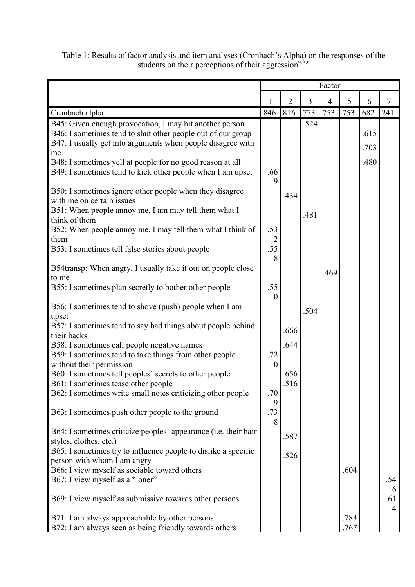Table 1: Results of factor analysis and item analyses (Cronbach's Alpha) on the responses of the students on their perceptions of their aggression<sup>a,b,c</sup>

|                                                                                                       | Factor                  |                |                |                |      |      |          |
|-------------------------------------------------------------------------------------------------------|-------------------------|----------------|----------------|----------------|------|------|----------|
|                                                                                                       |                         | $\overline{2}$ | $\overline{3}$ | $\overline{4}$ | 5    | 6    | 7        |
| Cronbach alpha                                                                                        | 846                     | .816           | .773           | .753           | .753 | .682 | .241     |
| B45: Given enough provocation, I may hit another person                                               |                         |                | .524           |                |      |      |          |
| B46: I sometimes tend to shut other people out of our group                                           |                         |                |                |                |      | .615 |          |
| B47: I usually get into arguments when people disagree with<br>me                                     |                         |                |                |                |      | .703 |          |
| B48: I sometimes yell at people for no good reason at all                                             |                         |                |                |                |      | .480 |          |
| B49: I sometimes tend to kick other people when I am upset                                            | .66<br>9                |                |                |                |      |      |          |
| B50: I sometimes ignore other people when they disagree<br>with me on certain issues                  |                         | .434           |                |                |      |      |          |
| B51: When people annoy me, I am may tell them what I                                                  |                         |                | .481           |                |      |      |          |
| think of them                                                                                         | .53                     |                |                |                |      |      |          |
| B52: When people annoy me, I may tell them what I think of<br>them                                    | $\overline{2}$          |                |                |                |      |      |          |
| B53: I sometimes tell false stories about people                                                      | .55<br>8                |                |                |                |      |      |          |
| B54transp: When angry, I usually take it out on people close<br>to me                                 |                         |                |                | .469           |      |      |          |
| B55: I sometimes plan secretly to bother other people                                                 | .55<br>$\boldsymbol{0}$ |                |                |                |      |      |          |
| B56: I sometimes tend to shove (push) people when I am                                                |                         |                | .504           |                |      |      |          |
| upset<br>B57: I sometimes tend to say bad things about people behind                                  |                         | .666           |                |                |      |      |          |
| their backs                                                                                           |                         |                |                |                |      |      |          |
| B58: I sometimes call people negative names<br>B59: I sometimes tend to take things from other people | .72                     | .644           |                |                |      |      |          |
| without their permission                                                                              | $\boldsymbol{0}$        |                |                |                |      |      |          |
| B60: I sometimes tell peoples' secrets to other people                                                |                         | .656           |                |                |      |      |          |
| B61: I sometimes tease other people                                                                   |                         | .516           |                |                |      |      |          |
| B62: I sometimes write small notes criticizing other people                                           | .70<br>9                |                |                |                |      |      |          |
| B63: I sometimes push other people to the ground                                                      | .73<br>8                |                |                |                |      |      |          |
| B64: I sometimes criticize peoples' appearance (i.e. their hair                                       |                         | .587           |                |                |      |      |          |
| styles, clothes, etc.)<br>B65: I sometimes try to influence people to dislike a specific              |                         |                |                |                |      |      |          |
| person with whom I am angry                                                                           |                         | .526           |                |                |      |      |          |
| B66: I view myself as sociable toward others                                                          |                         |                |                |                | .604 |      |          |
| B67: I view myself as a "loner"                                                                       |                         |                |                |                |      |      | .54      |
| B69: I view myself as submissive towards other persons                                                |                         |                |                |                |      |      | 6<br>.61 |
| B71: I am always approachable by other persons                                                        |                         |                |                |                | .783 |      | 4        |
| B72: I am always seen as being friendly towards others                                                |                         |                |                |                | .767 |      |          |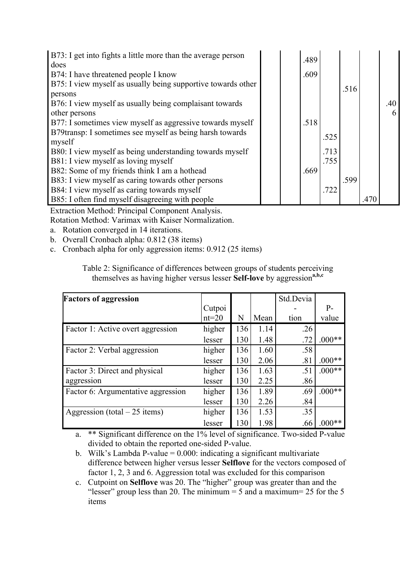| B73: I get into fights a little more than the average person<br>does |  | .489 |      |      |      |     |
|----------------------------------------------------------------------|--|------|------|------|------|-----|
| B74: I have threatened people I know                                 |  | .609 |      |      |      |     |
| B75: I view myself as usually being supportive towards other         |  |      |      |      |      |     |
| persons                                                              |  |      |      | .516 |      |     |
| B76: I view myself as usually being complaisant towards              |  |      |      |      |      | .40 |
| other persons                                                        |  |      |      |      |      |     |
| B77: I sometimes view myself as aggressive towards myself            |  | .518 |      |      |      |     |
| B79transp: I sometimes see myself as being harsh towards             |  |      | .525 |      |      |     |
| myself                                                               |  |      |      |      |      |     |
| B80: I view myself as being understanding towards myself             |  |      | .713 |      |      |     |
| B81: I view myself as loving myself                                  |  |      | .755 |      |      |     |
| B82: Some of my friends think I am a hothead                         |  | .669 |      |      |      |     |
| B83: I view myself as caring towards other persons                   |  |      |      | .599 |      |     |
| B84: I view myself as caring towards myself                          |  |      | .722 |      |      |     |
| B85: I often find myself disagreeing with people                     |  |      |      |      | .470 |     |

Extraction Method: Principal Component Analysis.

Rotation Method: Varimax with Kaiser Normalization.

a. Rotation converged in 14 iterations.

b. Overall Cronbach alpha: 0.812 (38 items)

c. Cronbach alpha for only aggression items: 0.912 (25 items)

Table 2: Significance of differences between groups of students perceiving themselves as having higher versus lesser **Self-love** by aggression**a,b,c**

| <b>Factors of aggression</b>       |         |     |      | Std.Devia |          |
|------------------------------------|---------|-----|------|-----------|----------|
|                                    | Cutpoi  |     |      |           | $P-$     |
|                                    | $nt=20$ | N   | Mean | tion      | value    |
| Factor 1: Active overt aggression  | higher  | 136 | 1.14 | .26       |          |
|                                    | lesser  | 130 | 1.48 | .72       | $.000**$ |
| Factor 2: Verbal aggression        | higher  | 136 | 1.60 | .58       |          |
|                                    | lesser  | 130 | 2.06 | .81       | $.000**$ |
| Factor 3: Direct and physical      | higher  | 136 | 1.63 | .51       | $.000**$ |
| aggression                         | lesser  | 130 | 2.25 | .86       |          |
| Factor 6: Argumentative aggression | higher  | 136 | 1.89 | .69       | $.000**$ |
|                                    | lesser  | 130 | 2.26 | .84       |          |
| Aggression (total $-25$ items)     | higher  | 136 | 1.53 | .35       |          |
|                                    | lesser  | 130 | 1.98 | .66       | $.000**$ |

a. \*\* Significant difference on the 1% level of significance. Two-sided P-value divided to obtain the reported one-sided P-value.

b. Wilk's Lambda P-value  $= 0.000$ : indicating a significant multivariate difference between higher versus lesser **Selflove** for the vectors composed of factor 1, 2, 3 and 6. Aggression total was excluded for this comparison

c. Cutpoint on **Selflove** was 20. The "higher" group was greater than and the "lesser" group less than 20. The minimum  $=$  5 and a maximum $=$  25 for the 5 items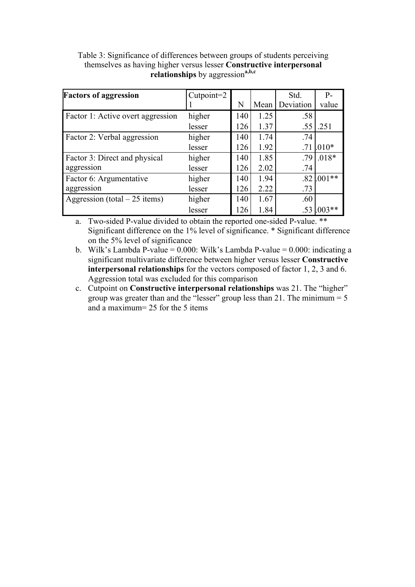Table 3: Significance of differences between groups of students perceiving themselves as having higher versus lesser **Constructive interpersonal relationships** by aggression**a,b,c**

| <b>Factors of aggression</b>      | $Cutpoint = 2$ |     |      | Std.             | $P -$    |
|-----------------------------------|----------------|-----|------|------------------|----------|
|                                   |                | N   | Mean | Deviation        | value    |
| Factor 1: Active overt aggression | higher         | 140 | 1.25 | .58              |          |
|                                   | lesser         | 126 | 1.37 | .55              | .251     |
| Factor 2: Verbal aggression       | higher         | 140 | 1.74 | .74              |          |
|                                   | lesser         | 126 | 1.92 |                  | $.010*$  |
| Factor 3: Direct and physical     | higher         | 140 | 1.85 | .79              | $.018*$  |
| aggression                        | lesser         | 126 | 2.02 | .74              |          |
| Factor 6: Argumentative           | higher         | 140 | 1.94 | .82 <sub>1</sub> | $.001**$ |
| aggression                        | lesser         | 126 | 2.22 | .73              |          |
| Aggression (total $-25$ items)    | higher         | 140 | 1.67 | .60              |          |
|                                   | lesser         | 126 | 1.84 |                  | $003**$  |

a. Two-sided P-value divided to obtain the reported one-sided P-value. \*\* Significant difference on the 1% level of significance. \* Significant difference on the 5% level of significance

b. Wilk's Lambda P-value =  $0.000$ : Wilk's Lambda P-value =  $0.000$ : indicating a significant multivariate difference between higher versus lesser **Constructive interpersonal relationships** for the vectors composed of factor 1, 2, 3 and 6. Aggression total was excluded for this comparison

c. Cutpoint on **Constructive interpersonal relationships** was 21. The "higher" group was greater than and the "lesser" group less than 21. The minimum  $= 5$ and a maximum= 25 for the 5 items